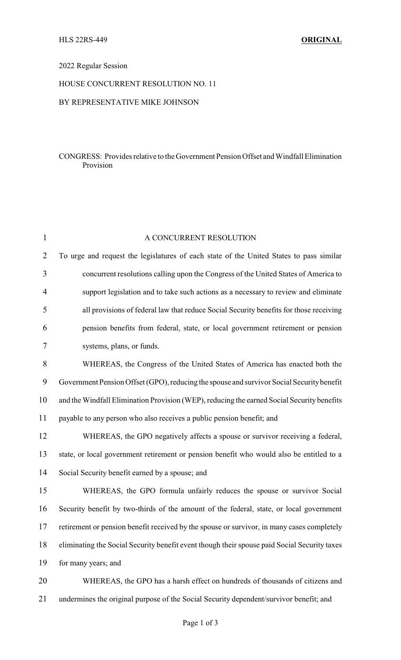## 2022 Regular Session

# HOUSE CONCURRENT RESOLUTION NO. 11

#### BY REPRESENTATIVE MIKE JOHNSON

#### CONGRESS: Provides relative to the Government Pension Offset and Windfall Elimination Provision

| $\mathbf{1}$   | A CONCURRENT RESOLUTION                                                                      |
|----------------|----------------------------------------------------------------------------------------------|
| $\overline{2}$ | To urge and request the legislatures of each state of the United States to pass similar      |
| 3              | concurrent resolutions calling upon the Congress of the United States of America to          |
| 4              | support legislation and to take such actions as a necessary to review and eliminate          |
| 5              | all provisions of federal law that reduce Social Security benefits for those receiving       |
| 6              | pension benefits from federal, state, or local government retirement or pension              |
| 7              | systems, plans, or funds.                                                                    |
| 8              | WHEREAS, the Congress of the United States of America has enacted both the                   |
| 9              | Government Pension Offset (GPO), reducing the spouse and survivor Social Security benefit    |
| 10             | and the Windfall Elimination Provision (WEP), reducing the earned Social Security benefits   |
| 11             | payable to any person who also receives a public pension benefit; and                        |
| 12             | WHEREAS, the GPO negatively affects a spouse or survivor receiving a federal,                |
| 13             | state, or local government retirement or pension benefit who would also be entitled to a     |
| 14             | Social Security benefit earned by a spouse; and                                              |
| 15             | WHEREAS, the GPO formula unfairly reduces the spouse or survivor Social                      |
| 16             | Security benefit by two-thirds of the amount of the federal, state, or local government      |
| 17             | retirement or pension benefit received by the spouse or survivor, in many cases completely   |
| 18             | eliminating the Social Security benefit event though their spouse paid Social Security taxes |
| 19             | for many years; and                                                                          |
| 20             | WHEREAS, the GPO has a harsh effect on hundreds of thousands of citizens and                 |
| 21             | undermines the original purpose of the Social Security dependent/survivor benefit; and       |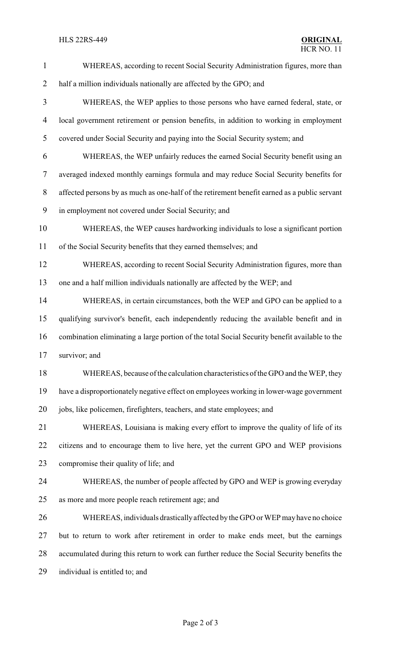## **HLS 22RS-449**

| $\mathbf{1}$             | WHEREAS, according to recent Social Security Administration figures, more than                |
|--------------------------|-----------------------------------------------------------------------------------------------|
| $\overline{2}$           | half a million individuals nationally are affected by the GPO; and                            |
| $\mathfrak{Z}$           | WHEREAS, the WEP applies to those persons who have earned federal, state, or                  |
| $\overline{\mathcal{A}}$ | local government retirement or pension benefits, in addition to working in employment         |
| 5                        | covered under Social Security and paying into the Social Security system; and                 |
| 6                        | WHEREAS, the WEP unfairly reduces the earned Social Security benefit using an                 |
| $\tau$                   | averaged indexed monthly earnings formula and may reduce Social Security benefits for         |
| 8                        | affected persons by as much as one-half of the retirement benefit earned as a public servant  |
| 9                        | in employment not covered under Social Security; and                                          |
| 10                       | WHEREAS, the WEP causes hardworking individuals to lose a significant portion                 |
| 11                       | of the Social Security benefits that they earned themselves; and                              |
| 12                       | WHEREAS, according to recent Social Security Administration figures, more than                |
| 13                       | one and a half million individuals nationally are affected by the WEP; and                    |
| 14                       | WHEREAS, in certain circumstances, both the WEP and GPO can be applied to a                   |
| 15                       | qualifying survivor's benefit, each independently reducing the available benefit and in       |
| 16                       | combination eliminating a large portion of the total Social Security benefit available to the |
| 17                       | survivor; and                                                                                 |
| 18                       | WHEREAS, because of the calculation characteristics of the GPO and the WEP, they              |
| 19                       | have a disproportionately negative effect on employees working in lower-wage government       |
| 20                       | jobs, like policemen, firefighters, teachers, and state employees; and                        |
| 21                       | WHEREAS, Louisiana is making every effort to improve the quality of life of its               |
| 22                       | citizens and to encourage them to live here, yet the current GPO and WEP provisions           |
| 23                       | compromise their quality of life; and                                                         |
| 24                       | WHEREAS, the number of people affected by GPO and WEP is growing everyday                     |
| 25                       | as more and more people reach retirement age; and                                             |
| 26                       | WHEREAS, individuals drastically affected by the GPO or WEP may have no choice                |
| 27                       | but to return to work after retirement in order to make ends meet, but the earnings           |
| 28                       | accumulated during this return to work can further reduce the Social Security benefits the    |
| 29                       | individual is entitled to; and                                                                |